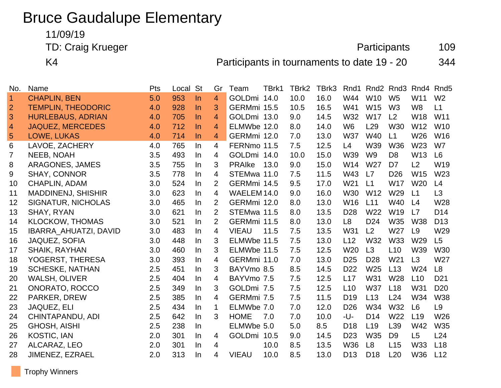# Bruce Gaudalupe Elementary

# 11/09/19

TD: Craig Krueger **Participants** 109

K4 **Participants in tournaments to date 19 - 20** 344

| No.            | Name                         | Pts | Local St |       | Gr             | Team          | TBrk1 | TBrk2 | TBrk3 | Rnd1            |                 | Rnd <sub>2</sub> Rnd <sub>3</sub> | Rnd4            | Rnd <sub>5</sub> |
|----------------|------------------------------|-----|----------|-------|----------------|---------------|-------|-------|-------|-----------------|-----------------|-----------------------------------|-----------------|------------------|
| $\overline{1}$ | <b>CHAPLIN, BEN</b>          | 5.0 | 953      | ln    | $\overline{4}$ | GOLDmi 14.0   |       | 10.0  | 16.0  | W44             | W <sub>10</sub> | W <sub>5</sub>                    | W11             | W <sub>2</sub>   |
| $\overline{2}$ | <b>TEMPLIN, THEODORIC</b>    | 4.0 | 928      | $\ln$ | 3              | GERMmi 15.5   |       | 10.5  | 16.5  | W41             | W15             | W <sub>3</sub>                    | W <sub>8</sub>  | L1               |
| 3              | <b>HURLEBAUS, ADRIAN</b>     | 4.0 | 705      | $\ln$ | $\overline{4}$ | GOLDmi 13.0   |       | 9.0   | 14.5  | W32             | <b>W17</b>      | L2                                | W18             | W11              |
| $\overline{4}$ | <b>JAQUEZ, MERCEDES</b>      | 4.0 | 712      | $\ln$ | 4              | ELMWbe 12.0   |       | 8.0   | 14.0  | W <sub>6</sub>  | L <sub>29</sub> | <b>W30</b>                        | W12             | <b>W10</b>       |
| 5              | <b>LOWE, LUKAS</b>           | 4.0 | 714      | $\ln$ | 4              | GERMmi 12.0   |       | 7.0   | 13.0  | <b>W37</b>      | W40             | L1                                | W26             | W16              |
| 6              | LAVOE, ZACHERY               | 4.0 | 765      | $\ln$ | $\overline{4}$ | FERNmo 11.5   |       | 7.5   | 12.5  | L4              | W39             | <b>W36</b>                        | W23             | W7               |
| $\overline{7}$ | <b>NEEB, NOAH</b>            | 3.5 | 493      | In    | 4              | GOLDmi 14.0   |       | 10.0  | 15.0  | W39             | W <sub>9</sub>  | D <sub>8</sub>                    | W13             | L <sub>6</sub>   |
| 8              | <b>ARAGONES, JAMES</b>       | 3.5 | 755      | In    | 3              | <b>PRAIke</b> | 13.0  | 9.0   | 15.0  | W14             | W <sub>27</sub> | D <sub>7</sub>                    | L2              | W <sub>19</sub>  |
| 9              | <b>SHAY, CONNOR</b>          | 3.5 | 778      | $\ln$ | 4              | STEMwa 11.0   |       | 7.5   | 11.5  | W43             | L7              | D <sub>26</sub>                   | W15             | W23              |
| 10             | <b>CHAPLIN, ADAM</b>         | 3.0 | 524      | In.   | 2              | GERMmi 14.5   |       | 9.5   | 17.0  | W <sub>21</sub> | L1              | <b>W17</b>                        | W <sub>20</sub> | L4               |
| 11             | <b>MADDINENJ, SHISHIR</b>    | 3.0 | 623      | In    | $\overline{4}$ | WAELEM 14.0   |       | 9.0   | 16.0  | W30             | W12             | W29                               | L1              | L3               |
| 12             | SIGNATUR, NICHOLAS           | 3.0 | 465      | In    | 2              | GERMmi 12.0   |       | 8.0   | 13.0  | W16             | L11             | W40                               | L4              | W28              |
| 13             | SHAY, RYAN                   | 3.0 | 621      | In    | 2              | STEMwa 11.5   |       | 8.0   | 13.5  | D <sub>28</sub> | W22             | W19                               | L7              | D <sub>14</sub>  |
| 14             | <b>KLOCKOW, THOMAS</b>       | 3.0 | 521      | In    | $\overline{2}$ | GERMmi 11.5   |       | 8.0   | 13.0  | L <sub>8</sub>  | D <sub>24</sub> | W35                               | <b>W38</b>      | D <sub>13</sub>  |
| 15             | <b>IBARRA AHUATZI, DAVID</b> | 3.0 | 483      | In    | $\overline{4}$ | <b>VIEAU</b>  | 11.5  | 7.5   | 13.5  | W31             | L2              | W27                               | L <sub>9</sub>  | W29              |
| 16             | JAQUEZ, SOFIA                | 3.0 | 448      | In    | 3              | ELMWbe 11.5   |       | 7.5   | 13.0  | L12             | W32             | W33                               | W29             | L5               |
| 17             | <b>SHAIK, RAYHAN</b>         | 3.0 | 460      | In    | 3              | ELMWbe 11.5   |       | 7.5   | 12.5  | W20             | L3              | L10                               | W39             | <b>W30</b>       |
| 18             | YOGERST, THERESA             | 3.0 | 393      | In    | 4              | GERMmi 11.0   |       | 7.0   | 13.0  | D <sub>25</sub> | D <sub>28</sub> | W21                               | L3              | W27              |
| 19             | <b>SCHESKE, NATHAN</b>       | 2.5 | 451      | In.   | 3              | BAYVmo 8.5    |       | 8.5   | 14.5  | D <sub>22</sub> | W25             | L13                               | W24             | L8               |
| 20             | <b>WALSH, OLIVER</b>         | 2.5 | 404      | In.   | 4              | BAYVmo 7.5    |       | 7.5   | 12.5  | L17             | W31             | W <sub>28</sub>                   | L10             | D <sub>21</sub>  |
| 21             | <b>ONORATO, ROCCO</b>        | 2.5 | 349      | In.   | 3              | GOLDmi 7.5    |       | 7.5   | 12.5  | L10             | <b>W37</b>      | L18                               | W31             | D <sub>20</sub>  |
| 22             | PARKER, DREW                 | 2.5 | 385      | $\ln$ | 4              | GERMmi 7.5    |       | 7.5   | 11.5  | D <sub>19</sub> | L13             | L24                               | W34             | <b>W38</b>       |
| 23             | <b>JAQUEZ, ELI</b>           | 2.5 | 434      | In    | 1              | ELMWbe 7.0    |       | 7.0   | 12.0  | D <sub>26</sub> | W34             | W32                               | L <sub>6</sub>  | L <sub>9</sub>   |
| 24             | CHINTAPANDU, ADI             | 2.5 | 642      | In    | 3              | <b>HOME</b>   | 7.0   | 7.0   | 10.0  | -U-             | D <sub>14</sub> | W22                               | L <sub>19</sub> | W26              |
| 25             | <b>GHOSH, AISHI</b>          | 2.5 | 238      | In    |                | ELMWbe 5.0    |       | 5.0   | 8.5   | D <sub>18</sub> | L <sub>19</sub> | L39                               | W42             | W35              |
| 26             | <b>KOSTIC, IAN</b>           | 2.0 | 301      | In    | 4              | GOLDmi        | 10.5  | 9.0   | 14.5  | D <sub>23</sub> | W35             | D <sub>9</sub>                    | L5              | L24              |
| 27             | ALCARAZ, LEO                 | 2.0 | 301      | In    | 4              |               | 10.0  | 8.5   | 13.5  | <b>W36</b>      | L <sub>8</sub>  | L15                               | W33             | L <sub>18</sub>  |
| 28             | JIMENEZ, EZRAEL              | 2.0 | 313      | In    | 4              | <b>VIEAU</b>  | 10.0  | 8.5   | 13.0  | D <sub>13</sub> | D <sub>18</sub> | L20                               | W36             | L12              |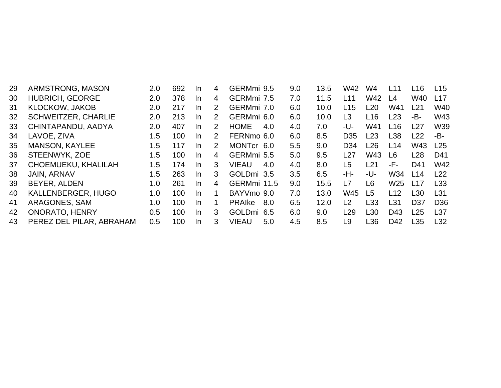| 29  | ARMSTRONG, MASON           | 2.0 | 692 | In. | 4             | GERMmi 9.5           | 9.0 | 13.5 | W42             | W4              | L <sub>11</sub> | L <sub>16</sub> | L15             |
|-----|----------------------------|-----|-----|-----|---------------|----------------------|-----|------|-----------------|-----------------|-----------------|-----------------|-----------------|
| 30  | <b>HUBRICH, GEORGE</b>     | 2.0 | 378 | In. | 4             | GERMmi 7.5           | 7.0 | 11.5 | L11             | W42             | L4              | W40             | L17             |
| 31  | <b>KLOCKOW, JAKOB</b>      | 2.0 | 217 | In. | $\mathcal{P}$ | GERMmi 7.0           | 6.0 | 10.0 | L15             | L <sub>20</sub> | W41             | L21             | W40             |
| 32  | <b>SCHWEITZER, CHARLIE</b> | 2.0 | 213 | In. | $\mathcal{P}$ | GERMmi 6.0           | 6.0 | 10.0 | L <sub>3</sub>  | L <sub>16</sub> | L23             | -В-             | W43             |
| 33  | CHINTAPANDU, AADYA         | 2.0 | 407 | In. | $\mathcal{P}$ | <b>HOME</b><br>4.0   | 4.0 | 7.0  | -U-             | W41             | L <sub>16</sub> | L27             | W39             |
| 34  | LAVOE, ZIVA                | 1.5 | 100 | In. | $\mathcal{P}$ | FERNmo 6.0           | 6.0 | 8.5  | D <sub>35</sub> | L <sub>23</sub> | L38             | L22             | -B-             |
| 35  | <b>MANSON, KAYLEE</b>      | 1.5 | 117 | In. | $\mathcal{P}$ | MONTcr 6.0           | 5.5 | 9.0  | D <sub>34</sub> | L26             | L14             | W43             | L25             |
| 36  | STEENWYK, ZOE              | 1.5 | 100 | In. | 4             | GERMmi 5.5           | 5.0 | 9.5  | L27             | W43             | L6              | L28             | D41             |
| 37  | CHOEMUEKU, KHALILAH        | 1.5 | 174 | In. | 3             | VIEAU<br>4.0         | 4.0 | 8.0  | L <sub>5</sub>  | L21             | -F-             | D41             | W42             |
| 38  | <b>JAIN, ARNAV</b>         | 1.5 | 263 | In. | 3             | GOLDmi 3.5           | 3.5 | 6.5  | -H-             | -U-             | W34             | L14             | L22             |
| 39  | BEYER, ALDEN               | 1.0 | 261 | In. | 4             | GERMmi 11.5          | 9.0 | 15.5 | L7              | L6              | W <sub>25</sub> | L17             | L33             |
| 40  | KALLENBERGER, HUGO         | 1.0 | 100 | In. |               | BAYVmo 9.0           | 7.0 | 13.0 | W45             | L5              | L12             | L30             | L <sub>31</sub> |
| -41 | ARAGONES, SAM              | 1.0 | 100 | In. | 1             | <b>PRAIKE</b><br>8.0 | 6.5 | 12.0 | L <sub>2</sub>  | L33             | L31             | D <sub>37</sub> | D <sub>36</sub> |
| 42  | <b>ONORATO, HENRY</b>      | 0.5 | 100 | In. | 3             | GOLDmi 6.5           | 6.0 | 9.0  | L29             | L30             | D43             | L25             | L <sub>37</sub> |
| 43  | PEREZ DEL PILAR, ABRAHAM   | 0.5 | 100 | In. | 3             | <b>VIEAU</b><br>5.0  | 4.5 | 8.5  | L9              | L36             | D42             | L35             | L32             |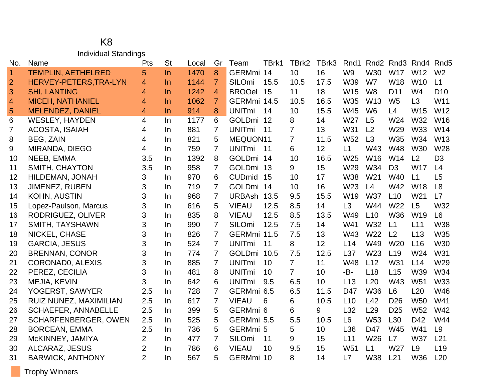#### K8 Individual Standings

| No.            | Name                        | Pts            | <b>St</b> | Local | Gr             | Team          | TBrk1 | TBrk2           | TBrk3 | Rnd1            |                 | Rnd <sub>2</sub> Rnd <sub>3</sub> | Rnd4            | Rnd <sub>5</sub> |
|----------------|-----------------------------|----------------|-----------|-------|----------------|---------------|-------|-----------------|-------|-----------------|-----------------|-----------------------------------|-----------------|------------------|
| $\overline{1}$ | <b>TEMPLIN, AETHELRED</b>   | 5              | $\ln$     | 1470  | 8              | GERMmi 14     |       | 10 <sup>1</sup> | 16    | W <sub>9</sub>  | W30             | <b>W17</b>                        | W12             | W <sub>2</sub>   |
| $\overline{2}$ | HERVEY-PETERS, TRA-LYN      | 4              | $\ln$     | 1144  | $\mathbf{7}$   | SILOmi        | 15.5  | 10.5            | 17.5  | W39             | W7              | <b>W18</b>                        | W <sub>10</sub> | L1               |
| 3              | <b>SHI, LANTING</b>         | 4              | $\ln$     | 1242  | $\overline{4}$ | <b>BROOel</b> | 15    | 11              | 18    | W15             | W <sub>8</sub>  | D <sub>11</sub>                   | W <sub>4</sub>  | D <sub>10</sub>  |
| $\overline{4}$ | <b>MICEH, NATHANIEL</b>     | 4              | $\ln$     | 1062  | 7              | GERMmi 14.5   |       | 10.5            | 16.5  | W35             | W13             | W <sub>5</sub>                    | L3              | W11              |
| 5              | <b>MELENDEZ, DANIEL</b>     | 4              | $\ln$     | 914   | 8              | <b>UNITmi</b> | 14    | 10              | 15.5  | <b>W45</b>      | W <sub>6</sub>  | L4                                | W15             | W12              |
| 6              | <b>WESLEY, HAYDEN</b>       | 4              | In        | 1177  | 6              | <b>GOLDmi</b> | 12    | 8               | 14    | W27             | L5              | W24                               | W32             | W16              |
| 7              | <b>ACOSTA, ISAIAH</b>       | 4              | In.       | 881   | $\overline{7}$ | <b>UNITmi</b> | 11    | $\overline{7}$  | 13    | W31             | L2              | W29                               | <b>W33</b>      | W14              |
| 8              | BEG, ZAIN                   | 4              | In        | 821   | 5              | MEQUON11      |       | $\overline{7}$  | 11.5  | W <sub>52</sub> | L3              | W35                               | W34             | W13              |
| 9              | MIRANDA, DIEGO              | 4              | In        | 759   | 7              | <b>UNITmi</b> | 11    | 6               | 12    | L1              | W43             | <b>W48</b>                        | W30             | W28              |
| 10             | NEEB, EMMA                  | 3.5            | In        | 1392  | 8              | <b>GOLDmi</b> | 14    | 10              | 16.5  | W25             | W16             | W14                               | L2              | D <sub>3</sub>   |
| 11             | <b>SMITH, CHAYTON</b>       | 3.5            | In.       | 958   | $\overline{7}$ | <b>GOLDmi</b> | 13    | 9               | 15    | W29             | W34             | D <sub>3</sub>                    | <b>W17</b>      | L4               |
| 12             | HILDEMAN, JONAH             | 3              | In.       | 970   | 6              | <b>CUDmid</b> | 15    | 10              | 17    | <b>W38</b>      | W <sub>21</sub> | W40                               | L1              | L5               |
| 13             | JIMENEZ, RUBEN              | 3              | In        | 719   | $\overline{7}$ | <b>GOLDmi</b> | 14    | 10              | 16    | W23             | L4              | W42                               | <b>W18</b>      | L8               |
| 14             | <b>KOHN, AUSTIN</b>         | 3              | In.       | 968   | $\overline{7}$ | <b>URBAsh</b> | 13.5  | 9.5             | 15.5  | W19             | <b>W37</b>      | L10                               | W <sub>21</sub> | L7               |
| 15             | Lopez-Paulson, Marcus       | 3              | In        | 616   | 5              | <b>VIEAU</b>  | 12.5  | 8.5             | 14    | L3              | W44             | W22                               | L <sub>5</sub>  | W32              |
| 16             | RODRIGUEZ, OLIVER           | 3              | In        | 835   | 8              | <b>VIEAU</b>  | 12.5  | 8.5             | 13.5  | W49             | L10             | W36                               | W19             | L <sub>6</sub>   |
| 17             | SMITH, TAYSHAWN             | 3              | In        | 990   | $\overline{7}$ | <b>SILOmi</b> | 12.5  | 7.5             | 14    | W41             | W32             | L1                                | L11             | <b>W38</b>       |
| 18             | NICKEL, CHASE               | 3              | In.       | 826   | $\overline{7}$ | GERMmi 11.5   |       | 7.5             | 13    | W43             | W22             | L <sub>2</sub>                    | L13             | W35              |
| 19             | <b>GARCIA, JESUS</b>        | 3              | In        | 524   | $\overline{7}$ | <b>UNITmi</b> | 11    | 8               | 12    | L14             | W49             | W <sub>20</sub>                   | L16             | W30              |
| 20             | <b>BRENNAN, CONOR</b>       | 3              | In        | 774   | $\overline{7}$ | <b>GOLDmi</b> | 10.5  | 7.5             | 12.5  | L37             | W23             | L <sub>19</sub>                   | W24             | <b>W31</b>       |
| 21             | CORONADO, ALEXIS            | 3              | In.       | 885   | $\overline{7}$ | <b>UNITmi</b> | 10    | $\overline{7}$  | 11    | W48             | L12             | W31                               | L14             | W29              |
| 22             | PEREZ, CECILIA              | 3              | In.       | 481   | 8              | <b>UNITmi</b> | 10    | $\overline{7}$  | 10    | -B-             | L18             | L15                               | W39             | W34              |
| 23             | MEJIA, KEVIN                | 3              | In.       | 642   | 6              | <b>UNITmi</b> | 9.5   | 6.5             | 10    | L13             | L20             | W43                               | W <sub>51</sub> | <b>W33</b>       |
| 24             | YOGERST, SAWYER             | 2.5            | In        | 728   | $\overline{7}$ | GERMmi 6.5    |       | 6.5             | 11.5  | D47             | W36             | L <sub>6</sub>                    | L20             | W46              |
| 25             | RUIZ NUNEZ, MAXIMILIAN      | 2.5            | In.       | 617   | $\overline{7}$ | <b>VIEAU</b>  | 6     | 6               | 10.5  | L10             | L42             | D <sub>26</sub>                   | <b>W50</b>      | W41              |
| 26             | <b>SCHAEFER, ANNABELLE</b>  | 2.5            | In        | 399   | 5              | GERMmi 6      |       | 6               | 9     | L32             | L <sub>29</sub> | D <sub>25</sub>                   | <b>W52</b>      | <b>W42</b>       |
| 27             | <b>SCHARFENBERGER, OWEN</b> | 2.5            | In.       | 525   | 5              | GERMmi 5.5    |       | 5.5             | 10.5  | L <sub>6</sub>  | W <sub>53</sub> | L <sub>30</sub>                   | D42             | W44              |
| 28             | <b>BORCEAN, EMMA</b>        | 2.5            | In.       | 736   | 5              | GERMmi 5      |       | 5               | 10    | L36             | D47             | W45                               | W41             | L <sub>9</sub>   |
| 29             | McKINNEY, JAMIYA            | $\overline{2}$ | In.       | 477   | 7              | <b>SILOmi</b> | 11    | 9               | 15    | L11             | W26             | L7                                | <b>W37</b>      | L21              |
| 30             | <b>ALCARAZ, JESUS</b>       | $\overline{2}$ | In.       | 786   | 6              | <b>VIEAU</b>  | 10    | 9.5             | 15    | W <sub>51</sub> | L1              | W27                               | L <sub>9</sub>  | L <sub>19</sub>  |
| 31             | <b>BARWICK, ANTHONY</b>     | $\overline{2}$ | In.       | 567   | 5              | GERMmi 10     |       | 8               | 14    | L7              | W38             | L21                               | <b>W36</b>      | L20              |

Trophy Winners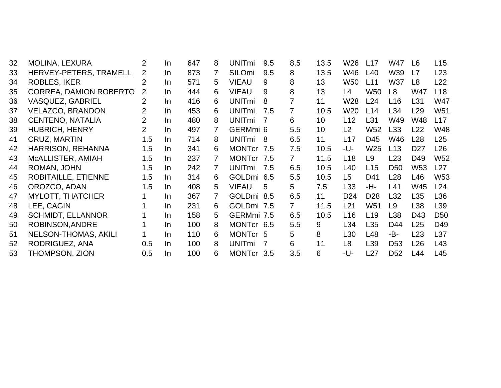| 32 | <b>MOLINA, LEXURA</b>       | $\overline{2}$ | In. | 647 | 8 | <b>UNITmi</b> | 9.5 | 8.5            | 13.5            | W26             | L17             | W47             | L6              | L15             |
|----|-----------------------------|----------------|-----|-----|---|---------------|-----|----------------|-----------------|-----------------|-----------------|-----------------|-----------------|-----------------|
| 33 | HERVEY-PETERS, TRAMELL      | 2              | In. | 873 | 7 | SILOmi        | 9.5 | 8              | 13.5            | W46             | L40             | W39             | L7              | L23             |
| 34 | <b>ROBLES, IKER</b>         | $\overline{2}$ | In. | 571 | 5 | <b>VIEAU</b>  | 9   | 8              | 13              | W50             | L11             | W37             | L <sub>8</sub>  | L22             |
| 35 | CORREA, DAMION ROBERTO      | $\overline{2}$ | In. | 444 | 6 | <b>VIEAU</b>  | 9   | 8              | 13              | L4              | W50             | L <sub>8</sub>  | W47             | L <sub>18</sub> |
| 36 | <b>VASQUEZ, GABRIEL</b>     | 2              | In. | 416 | 6 | <b>UNITmi</b> | 8   | 7              | 11              | W28             | L24             | L16             | L31             | <b>W47</b>      |
| 37 | <b>VELAZCO, BRANDON</b>     | 2              | In. | 453 | 6 | <b>UNITmi</b> | 7.5 | 7              | 10.5            | W <sub>20</sub> | L14             | L34             | L29             | W <sub>51</sub> |
| 38 | <b>CENTENO, NATALIA</b>     | $\overline{2}$ | In  | 480 | 8 | <b>UNITmi</b> | 7   | 6              | 10 <sup>°</sup> | L12             | L31             | W49             | W48             | L17             |
| 39 | <b>HUBRICH, HENRY</b>       | $\overline{2}$ | In  | 497 | 7 | GERMmi 6      |     | 5.5            | 10              | L2              | W52             | L33             | L22             | W48             |
| 41 | <b>CRUZ, MARTIN</b>         | 1.5            | In. | 714 | 8 | <b>UNITmi</b> | 8   | 6.5            | 11              | L17             | D45             | W46             | L <sub>28</sub> | L25             |
| 42 | HARRISON, REHANNA           | 1.5            | In. | 341 | 6 | <b>MONTcr</b> | 7.5 | 7.5            | 10.5            | -U-             | W <sub>25</sub> | L13             | D <sub>27</sub> | L26             |
| 43 | MCALLISTER, AMIAH           | 1.5            | In. | 237 | 7 | <b>MONTcr</b> | 7.5 | $\overline{7}$ | 11.5            | L <sub>18</sub> | L <sub>9</sub>  | L23             | D49             | W <sub>52</sub> |
| 44 | ROMAN, JOHN                 | 1.5            | In. | 242 | 7 | <b>UNITmi</b> | 7.5 | 6.5            | 10.5            | L40             | L15             | D <sub>50</sub> | W <sub>53</sub> | L27             |
| 45 | ROBITAILLE, ETIENNE         | 1.5            | In. | 314 | 6 | GOLDmi 6.5    |     | 5.5            | 10.5            | L <sub>5</sub>  | D41             | L <sub>28</sub> | L46             | W <sub>53</sub> |
| 46 | OROZCO, ADAN                | 1.5            | In. | 408 | 5 | <b>VIEAU</b>  | 5   | 5              | 7.5             | L33             | -H-             | L41             | W45             | L24             |
| 47 | <b>MYLOTT, THATCHER</b>     |                | In. | 367 | 7 | GOLDmi 8.5    |     | 6.5            | 11              | D <sub>24</sub> | D <sub>28</sub> | L32             | L <sub>35</sub> | L36             |
| 48 | LEE, CAGIN                  |                | In. | 231 | 6 | GOLDmi 7.5    |     | $7^{\circ}$    | 11.5            | L21             | W <sub>51</sub> | L9              | L38             | L39             |
| 49 | <b>SCHMIDT, ELLANNOR</b>    |                | In. | 158 | 5 | GERMmi 7.5    |     | 6.5            | 10.5            | L16             | L <sub>19</sub> | L38             | D43             | D <sub>50</sub> |
| 50 | ROBINSON, ANDRE             |                | In. | 100 | 8 | MONTcr 6.5    |     | 5.5            | 9               | L34             | L35             | D44             | L25             | D49             |
| 51 | <b>NELSON-THOMAS, AKILI</b> |                | In. | 110 | 6 | MONTcr 5      |     | 5              | 8               | L <sub>30</sub> | L48             | -B-             | L <sub>23</sub> | L37             |
| 52 | RODRIGUEZ, ANA              | 0.5            | In. | 100 | 8 | <b>UNITmi</b> | 7   | 6              | 11              | L <sub>8</sub>  | L39             | D <sub>53</sub> | L26             | L43             |
| 53 | THOMPSON, ZION              | 0.5            | In. | 100 | 6 | MONTcr 3.5    |     | 3.5            | 6               | -U-             | L27             | D <sub>52</sub> | L44             | L45             |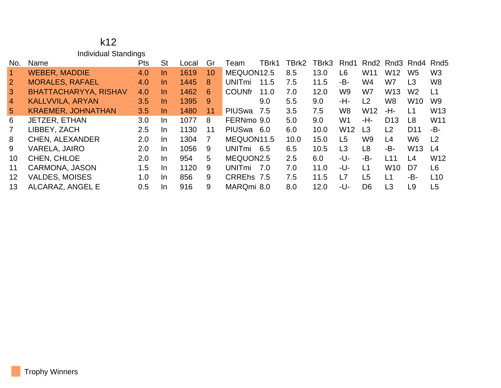#### k12 Individual Standings

| No.             | Name                         | <b>Pts</b> | <b>St</b> | Local | Gr | Team                     | TBrk1 | TBrk2 | TBrk3 | Rnd1            | Rnd <sub>2</sub> |                 | Rnd3 Rnd4 Rnd5  |                 |
|-----------------|------------------------------|------------|-----------|-------|----|--------------------------|-------|-------|-------|-----------------|------------------|-----------------|-----------------|-----------------|
|                 | <b>WEBER, MADDIE</b>         | 4.0        | $\ln$     | 1619  | 10 | MEQUON12.5               |       | 8.5   | 13.0  | L6              | W11              | W12             | W <sub>5</sub>  | W <sub>3</sub>  |
| $\overline{2}$  | <b>MORALES, RAFAEL</b>       | 4.0        | In.       | 1445  | 8  | <b>UNIT<sub>mi</sub></b> | 11.5  | 7.5   | 11.5  | -B-             | W4               | W7              | L3              | W <sub>8</sub>  |
| $\mathbf{3}$    | <b>BHATTACHARYYA, RISHAV</b> | 4.0        | $\ln$     | 1462  | 6  | <b>COUNfr</b>            | 11.0  | 7.0   | 12.0  | W9              | W7               | W13             | W <sub>2</sub>  | L1              |
| $\overline{4}$  | <b>KALLVVILA, ARYAN</b>      | 3.5        | In.       | 1395  | 9  |                          | 9.0   | 5.5   | 9.0   | -H-             | L <sub>2</sub>   | W8              | W <sub>10</sub> | W9              |
| $5\overline{)}$ | <b>KRAEMER, JOHNATHAN</b>    | 3.5        | $\ln$     | 1480  | 11 | PIUSwa                   | 7.5   | 3.5   | 7.5   | W <sub>8</sub>  | W <sub>12</sub>  | -H-             | L1              | W <sub>13</sub> |
| 6               | JETZER, ETHAN                | 3.0        | In.       | 1077  | 8  | FERNmo 9.0               |       | 5.0   | 9.0   | W <sub>1</sub>  | -H-              | D <sub>13</sub> | L8              | W11             |
| $\overline{7}$  | LIBBEY, ZACH                 | 2.5        | <b>In</b> | 1130  | 11 | <b>PIUSwa</b>            | 6.0   | 6.0   | 10.0  | W <sub>12</sub> | L <sub>3</sub>   | L <sub>2</sub>  | D <sub>11</sub> | -B-             |
| 8               | <b>CHEN, ALEXANDER</b>       | 2.0        | In.       | 1304  | 7  | MEQUON11.5               |       | 10.0  | 15.0  | L5              | W9               | L4              | W6              | L <sub>2</sub>  |
| 9               | <b>VARELA, JAIRO</b>         | 2.0        | <b>In</b> | 1056  | 9  | <b>UNIT<sub>mi</sub></b> | 6.5   | 6.5   | 10.5  | L3              | L <sub>8</sub>   | -B-             | W <sub>13</sub> | $\lfloor 4$     |
| 10              | CHEN, CHLOE                  | 2.0        | $\ln$     | 954   | 5  | MEQUON2.5                |       | 2.5   | 6.0   | -U-             | -B-              | L11             | L4              | W <sub>12</sub> |
| 11              | <b>CARMONA, JASON</b>        | 1.5        | In.       | 1120  | 9  | <b>UNITmi</b>            | 7.0   | 7.0   | 11.0  | -U-             | L1               | W10             | D7              | L <sub>6</sub>  |
| 12              | <b>VALDES, MOISES</b>        | 1.0        | <b>In</b> | 856   | 9  | CRREhs 7.5               |       | 7.5   | 11.5  | L7              | L <sub>5</sub>   | L <sub>1</sub>  | -B-             | L10             |
| 13              | ALCARAZ, ANGEL E             | 0.5        | In.       | 916   | 9  | MARQmi 8.0               |       | 8.0   | 12.0  | -U-             | D <sub>6</sub>   | L3              | L9              | L <sub>5</sub>  |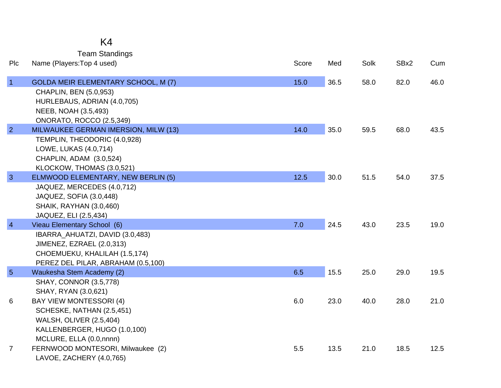## K4

Team Standings

| Plc             | Name (Players: Top 4 used)                                                                                                                                         | Score | Med  | Solk | SBx2 | Cum  |
|-----------------|--------------------------------------------------------------------------------------------------------------------------------------------------------------------|-------|------|------|------|------|
| $\vert$ 1       | <b>GOLDA MEIR ELEMENTARY SCHOOL, M (7)</b><br>CHAPLIN, BEN (5.0,953)<br>HURLEBAUS, ADRIAN (4.0,705)<br>NEEB, NOAH (3.5,493)<br>ONORATO, ROCCO (2.5,349)            | 15.0  | 36.5 | 58.0 | 82.0 | 46.0 |
| $\overline{2}$  | MILWAUKEE GERMAN IMERSION, MILW (13)<br>TEMPLIN, THEODORIC (4.0,928)<br>LOWE, LUKAS (4.0,714)<br>CHAPLIN, ADAM (3.0,524)<br>KLOCKOW, THOMAS (3.0,521)              | 14.0  | 35.0 | 59.5 | 68.0 | 43.5 |
| $\overline{3}$  | ELMWOOD ELEMENTARY, NEW BERLIN (5)<br>JAQUEZ, MERCEDES (4.0,712)<br>JAQUEZ, SOFIA (3.0,448)<br><b>SHAIK, RAYHAN (3.0,460)</b><br>JAQUEZ, ELI (2.5,434)             | 12.5  | 30.0 | 51.5 | 54.0 | 37.5 |
| $\overline{4}$  | Vieau Elementary School (6)<br>IBARRA_AHUATZI, DAVID (3.0,483)<br>JIMENEZ, EZRAEL (2.0,313)<br>CHOEMUEKU, KHALILAH (1.5,174)<br>PEREZ DEL PILAR, ABRAHAM (0.5,100) | 7.0   | 24.5 | 43.0 | 23.5 | 19.0 |
| $5\overline{5}$ | Waukesha Stem Academy (2)<br><b>SHAY, CONNOR (3.5,778)</b><br>SHAY, RYAN (3.0,621)                                                                                 | 6.5   | 15.5 | 25.0 | 29.0 | 19.5 |
| 6               | <b>BAY VIEW MONTESSORI (4)</b><br>SCHESKE, NATHAN (2.5,451)<br><b>WALSH, OLIVER (2.5,404)</b><br>KALLENBERGER, HUGO (1.0,100)<br>MCLURE, ELLA (0.0,nnnn)           | 6.0   | 23.0 | 40.0 | 28.0 | 21.0 |
| $\overline{7}$  | FERNWOOD MONTESORI, Milwaukee (2)<br>LAVOE, ZACHERY (4.0,765)                                                                                                      | 5.5   | 13.5 | 21.0 | 18.5 | 12.5 |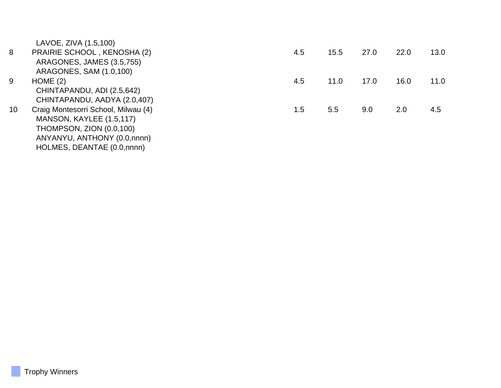LAVOE, ZIVA (1.5,100)

| 8  | PRAIRIE SCHOOL, KENOSHA (2)         | 4.5 | 15.5 | 27.0 | 22.0 | 13.0 |
|----|-------------------------------------|-----|------|------|------|------|
|    | ARAGONES, JAMES (3.5,755)           |     |      |      |      |      |
|    | ARAGONES, SAM (1.0,100)             |     |      |      |      |      |
| 9  | HOME(2)                             | 4.5 | 11.0 | 17.0 | 16.0 | 11.0 |
|    | CHINTAPANDU, ADI (2.5,642)          |     |      |      |      |      |
|    | CHINTAPANDU, AADYA (2.0,407)        |     |      |      |      |      |
| 10 | Craig Montesorri School, Milwau (4) | 1.5 | 5.5  | 9.0  | 2.0  | 4.5  |
|    | MANSON, KAYLEE (1.5,117)            |     |      |      |      |      |
|    | THOMPSON, ZION (0.0,100)            |     |      |      |      |      |
|    | ANYANYU, ANTHONY (0.0,nnnn)         |     |      |      |      |      |
|    | HOLMES, DEANTAE (0.0,nnnn)          |     |      |      |      |      |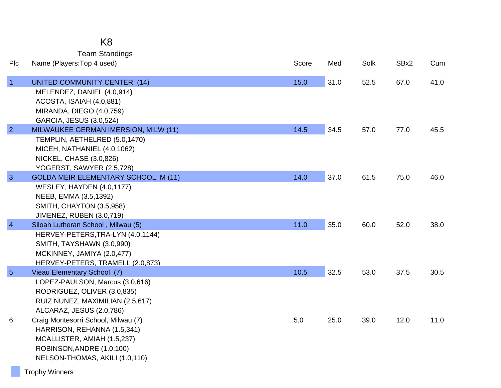|                 | <b>Team Standings</b>                                                                                                                                                          |       |      |      |      |      |
|-----------------|--------------------------------------------------------------------------------------------------------------------------------------------------------------------------------|-------|------|------|------|------|
| Plc             | Name (Players: Top 4 used)                                                                                                                                                     | Score | Med  | Solk | SBx2 | Cum  |
| $\vert$ 1       | UNITED COMMUNITY CENTER (14)<br>MELENDEZ, DANIEL (4.0,914)                                                                                                                     | 15.0  | 31.0 | 52.5 | 67.0 | 41.0 |
|                 | ACOSTA, ISAIAH (4.0,881)<br>MIRANDA, DIEGO (4.0,759)<br>GARCIA, JESUS (3.0,524)                                                                                                |       |      |      |      |      |
| $\overline{2}$  | MILWAUKEE GERMAN IMERSION, MILW (11)<br>TEMPLIN, AETHELRED (5.0,1470)<br>MICEH, NATHANIEL (4.0,1062)<br>NICKEL, CHASE (3.0,826)<br>YOGERST, SAWYER (2.5,728)                   | 14.5  | 34.5 | 57.0 | 77.0 | 45.5 |
| $\mathbf{3}$    | <b>GOLDA MEIR ELEMENTARY SCHOOL, M (11)</b><br><b>WESLEY, HAYDEN (4.0,1177)</b><br>NEEB, EMMA (3.5,1392)<br><b>SMITH, CHAYTON (3.5,958)</b><br><b>JIMENEZ, RUBEN (3.0,719)</b> | 14.0  | 37.0 | 61.5 | 75.0 | 46.0 |
| $\overline{4}$  | Siloah Lutheran School, Milwau (5)<br>HERVEY-PETERS, TRA-LYN (4.0, 1144)<br>SMITH, TAYSHAWN (3.0,990)<br>MCKINNEY, JAMIYA (2.0,477)<br>HERVEY-PETERS, TRAMELL (2.0,873)        | 11.0  | 35.0 | 60.0 | 52.0 | 38.0 |
| $5\overline{5}$ | Vieau Elementary School (7)<br>LOPEZ-PAULSON, Marcus (3.0,616)<br>RODRIGUEZ, OLIVER (3.0,835)<br>RUIZ NUNEZ, MAXIMILIAN (2.5,617)<br>ALCARAZ, JESUS (2.0,786)                  | 10.5  | 32.5 | 53.0 | 37.5 | 30.5 |
| 6               | Craig Montesorri School, Milwau (7)<br>HARRISON, REHANNA (1.5,341)<br>MCALLISTER, AMIAH (1.5,237)<br>ROBINSON, ANDRE (1.0,100)<br>NELSON-THOMAS, AKILI (1.0,110)               | 5.0   | 25.0 | 39.0 | 12.0 | 11.0 |

K8

Trophy Winners